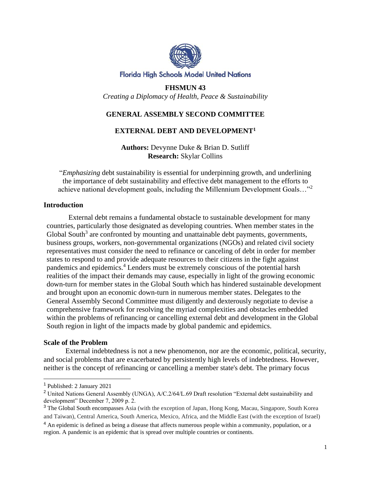

### **Florida High Schools Model United Nations**

**FHSMUN 43** *Creating a Diplomacy of Health, Peace & Sustainability*

# **GENERAL ASSEMBLY SECOND COMMITTEE**

## **EXTERNAL DEBT AND DEVELOPMENT<sup>1</sup>**

**Authors:** Devynne Duke & Brian D. Sutliff **Research:** Skylar Collins

"*Emphasizing* debt sustainability is essential for underpinning growth, and underlining the importance of debt sustainability and effective debt management to the efforts to achieve national development goals, including the Millennium Development Goals... $"^2$ 

### **Introduction**

External debt remains a fundamental obstacle to sustainable development for many countries, particularly those designated as developing countries. When member states in the Global South<sup>3</sup> are confronted by mounting and unattainable debt payments, governments, business groups, workers, non-governmental organizations (NGOs) and related civil society representatives must consider the need to refinance or canceling of debt in order for member states to respond to and provide adequate resources to their citizens in the fight against pandemics and epidemics.<sup>4</sup> Lenders must be extremely conscious of the potential harsh realities of the impact their demands may cause, especially in light of the growing economic down-turn for member states in the Global South which has hindered sustainable development and brought upon an economic down-turn in numerous member states. Delegates to the General Assembly Second Committee must diligently and dexterously negotiate to devise a comprehensive framework for resolving the myriad complexities and obstacles embedded within the problems of refinancing or cancelling external debt and development in the Global South region in light of the impacts made by global pandemic and epidemics.

### **Scale of the Problem**

External indebtedness is not a new phenomenon, nor are the economic, political, security, and social problems that are exacerbated by persistently high levels of indebtedness. However, neither is the concept of refinancing or cancelling a member state's debt. The primary focus

<sup>1</sup> Published: 2 January 2021

<sup>&</sup>lt;sup>2</sup> United Nations General Assembly (UNGA), A/C.2/64/L.69 Draft resolution "External debt sustainability and development" December 7, 2009 p. 2.

<sup>3</sup> The Global South encompasses Asia (with the exception of Japan, Hong Kong, Macau, Singapore, South Korea and Taiwan), Central America, South America, Mexico, Africa, and the Middle East (with the exception of Israel)

<sup>&</sup>lt;sup>4</sup> An epidemic is defined as being a disease that affects numerous people within a community, population, or a region. A pandemic is an epidemic that is spread over multiple countries or continents.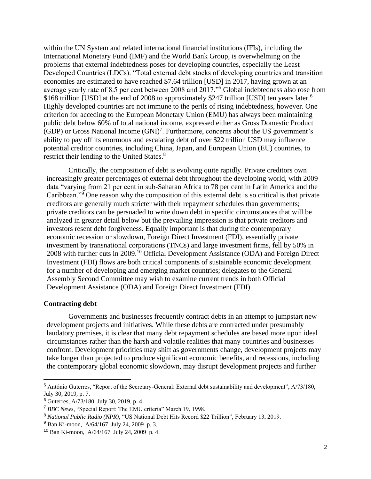within the UN System and related international financial institutions (IFIs), including the International Monetary Fund (IMF) and the World Bank Group, is overwhelming on the problems that external indebtedness poses for developing countries, especially the Least Developed Countries (LDCs). "Total external debt stocks of developing countries and transition economies are estimated to have reached \$7.64 trillion [USD] in 2017, having grown at an average yearly rate of 8.5 per cent between 2008 and 2017."<sup>5</sup> Global indebtedness also rose from \$168 trillion [USD] at the end of 2008 to approximately \$247 trillion [USD] ten years later.<sup>6</sup> Highly developed countries are not immune to the perils of rising indebtedness, however. One criterion for acceding to the European Monetary Union (EMU) has always been maintaining public debt below 60% of total national income, expressed either as Gross Domestic Product  $(GDP)$  or Gross National Income  $(GNI)^7$ . Furthermore, concerns about the US government's ability to pay off its enormous and escalating debt of over \$22 trillion USD may influence potential creditor countries, including China, Japan, and European Union (EU) countries, to restrict their lending to the United States.<sup>8</sup>

Critically, the composition of debt is evolving quite rapidly. Private creditors own increasingly greater percentages of external debt throughout the developing world, with 2009 data "varying from 21 per cent in sub-Saharan Africa to 78 per cent in Latin America and the Caribbean."<sup>9</sup> One reason why the composition of this external debt is so critical is that private creditors are generally much stricter with their repayment schedules than governments; private creditors can be persuaded to write down debt in specific circumstances that will be analyzed in greater detail below but the prevailing impression is that private creditors and investors resent debt forgiveness. Equally important is that during the contemporary economic recession or slowdown, Foreign Direct Investment (FDI), essentially private investment by transnational corporations (TNCs) and large investment firms, fell by 50% in 2008 with further cuts in 2009.<sup>10</sup> Official Development Assistance (ODA) and Foreign Direct Investment (FDI) flows are both critical components of sustainable economic development for a number of developing and emerging market countries; delegates to the General Assembly Second Committee may wish to examine current trends in both Official Development Assistance (ODA) and Foreign Direct Investment (FDI).

### **Contracting debt**

Governments and businesses frequently contract debts in an attempt to jumpstart new development projects and initiatives. While these debts are contracted under presumably laudatory premises, it is clear that many debt repayment schedules are based more upon ideal circumstances rather than the harsh and volatile realities that many countries and businesses confront. Development priorities may shift as governments change, development projects may take longer than projected to produce significant economic benefits, and recessions, including the contemporary global economic slowdown, may disrupt development projects and further

<sup>5</sup> António Guterres, "Report of the Secretary-General: External debt sustainability and development", A/73/180, July 30, 2019, p. 7.

<sup>6</sup> Guterres, A/73/180, July 30, 2019, p. 4.

<sup>7</sup> *BBC News*, "Special Report: The EMU criteria" March 19, 1998.

<sup>8</sup> *National Public Radio (NPR),* "US National Debt Hits Record \$22 Trillion", February 13, 2019.

<sup>9</sup> Ban Ki-moon, A/64/167 July 24, 2009 p. 3.

<sup>10</sup> Ban Ki-moon, A/64/167 July 24, 2009 p. 4.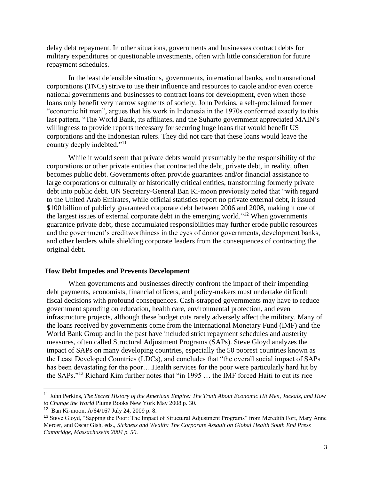delay debt repayment. In other situations, governments and businesses contract debts for military expenditures or questionable investments, often with little consideration for future repayment schedules.

In the least defensible situations, governments, international banks, and transnational corporations (TNCs) strive to use their influence and resources to cajole and/or even coerce national governments and businesses to contract loans for development, even when those loans only benefit very narrow segments of society. John Perkins, a self-proclaimed former "economic hit man", argues that his work in Indonesia in the 1970s conformed exactly to this last pattern. "The World Bank, its affiliates, and the Suharto government appreciated MAIN's willingness to provide reports necessary for securing huge loans that would benefit US corporations and the Indonesian rulers. They did not care that these loans would leave the country deeply indebted."<sup>11</sup>

While it would seem that private debts would presumably be the responsibility of the corporations or other private entities that contracted the debt, private debt, in reality, often becomes public debt. Governments often provide guarantees and/or financial assistance to large corporations or culturally or historically critical entities, transforming formerly private debt into public debt. UN Secretary-General Ban Ki-moon previously noted that "with regard to the United Arab Emirates, while official statistics report no private external debt, it issued \$100 billion of publicly guaranteed corporate debt between 2006 and 2008, making it one of the largest issues of external corporate debt in the emerging world."<sup>12</sup> When governments guarantee private debt, these accumulated responsibilities may further erode public resources and the government's creditworthiness in the eyes of donor governments, development banks, and other lenders while shielding corporate leaders from the consequences of contracting the original debt.

#### **How Debt Impedes and Prevents Development**

When governments and businesses directly confront the impact of their impending debt payments, economists, financial officers, and policy-makers must undertake difficult fiscal decisions with profound consequences. Cash-strapped governments may have to reduce government spending on education, health care, environmental protection, and even infrastructure projects, although these budget cuts rarely adversely affect the military. Many of the loans received by governments come from the International Monetary Fund (IMF) and the World Bank Group and in the past have included strict repayment schedules and austerity measures, often called Structural Adjustment Programs (SAPs). Steve Gloyd analyzes the impact of SAPs on many developing countries, especially the 50 poorest countries known as the Least Developed Countries (LDCs), and concludes that "the overall social impact of SAPs has been devastating for the poor….Health services for the poor were particularly hard hit by the SAPs."<sup>13</sup> Richard Kim further notes that "in 1995 … the IMF forced Haiti to cut its rice

<sup>11</sup> John Perkins, *The Secret History of the American Empire: The Truth About Economic Hit Men, Jackals, and How to Change the World* Plume Books New York May 2008 p. 30.

<sup>12</sup> Ban Ki-moon, A/64/167 July 24, 2009 p. 8.

<sup>&</sup>lt;sup>13</sup> Steve Gloyd, "Sapping the Poor: The Impact of Structural Adjustment Programs" from Meredith Fort, Mary Anne Mercer, and Oscar Gish, eds., *Sickness and Wealth: The Corporate Assault on Global Health South End Press Cambridge, Massachusetts 2004 p. 50.*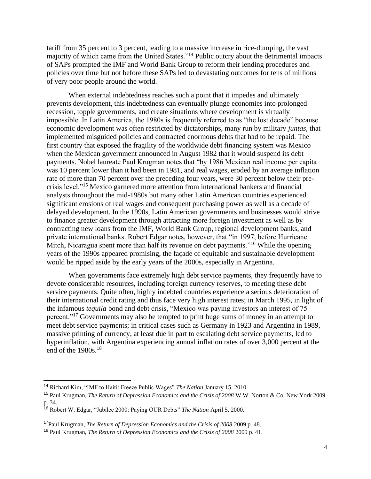tariff from 35 percent to 3 percent, leading to a massive increase in rice-dumping, the vast majority of which came from the United States."<sup>14</sup> Public outcry about the detrimental impacts of SAPs prompted the IMF and World Bank Group to reform their lending procedures and policies over time but not before these SAPs led to devastating outcomes for tens of millions of very poor people around the world.

When external indebtedness reaches such a point that it impedes and ultimately prevents development, this indebtedness can eventually plunge economies into prolonged recession, topple governments, and create situations where development is virtually impossible. In Latin America, the 1980s is frequently referred to as "the lost decade" because economic development was often restricted by dictatorships, many run by military *juntas*, that implemented misguided policies and contracted enormous debts that had to be repaid. The first country that exposed the fragility of the worldwide debt financing system was Mexico when the Mexican government announced in August 1982 that it would suspend its debt payments. Nobel laureate Paul Krugman notes that "by 1986 Mexican real income per capita was 10 percent lower than it had been in 1981, and real wages, eroded by an average inflation rate of more than 70 percent over the preceding four years, were 30 percent below their precrisis level."<sup>15</sup> Mexico garnered more attention from international bankers and financial analysts throughout the mid-1980s but many other Latin American countries experienced significant erosions of real wages and consequent purchasing power as well as a decade of delayed development. In the 1990s, Latin American governments and businesses would strive to finance greater development through attracting more foreign investment as well as by contracting new loans from the IMF, World Bank Group, regional development banks, and private international banks. Robert Edgar notes, however, that "in 1997, before Hurricane Mitch, Nicaragua spent more than half its revenue on debt payments."<sup>16</sup> While the opening years of the 1990s appeared promising, the façade of equitable and sustainable development would be ripped aside by the early years of the 2000s, especially in Argentina.

When governments face extremely high debt service payments, they frequently have to devote considerable resources, including foreign currency reserves, to meeting these debt service payments. Quite often, highly indebted countries experience a serious deterioration of their international credit rating and thus face very high interest rates; in March 1995, in light of the infamous *tequila* bond and debt crisis, "Mexico was paying investors an interest of 75 percent."<sup>17</sup> Governments may also be tempted to print huge sums of money in an attempt to meet debt service payments; in critical cases such as Germany in 1923 and Argentina in 1989, massive printing of currency, at least due in part to escalating debt service payments, led to hyperinflation, with Argentina experiencing annual inflation rates of over 3,000 percent at the end of the  $1980s$ <sup>18</sup>

<sup>14</sup> Richard Kim, "IMF to Haiti: Freeze Public Wages" *The Nation* January 15, 2010.

<sup>15</sup> Paul Krugman, *The Return of Depression Economics and the Crisis of 2008* W.W. Norton & Co. New York 2009 p. 34.

<sup>16</sup> Robert W. Edgar, "Jubilee 2000: Paying OUR Debts" *The Nation* April 5, 2000.

<sup>17</sup>Paul Krugman, *The Return of Depression Economics and the Crisis of 2008* 2009 p. 48.

<sup>18</sup> Paul Krugman, *The Return of Depression Economics and the Crisis of 2008* 2009 p. 41.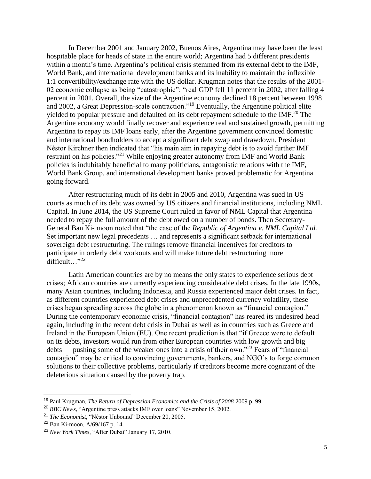In December 2001 and January 2002, Buenos Aires, Argentina may have been the least hospitable place for heads of state in the entire world; Argentina had 5 different presidents within a month's time. Argentina's political crisis stemmed from its external debt to the IMF, World Bank, and international development banks and its inability to maintain the inflexible 1:1 convertibility/exchange rate with the US dollar. Krugman notes that the results of the 2001- 02 economic collapse as being "catastrophic": "real GDP fell 11 percent in 2002, after falling 4 percent in 2001. Overall, the size of the Argentine economy declined 18 percent between 1998 and 2002, a Great Depression-scale contraction."<sup>19</sup> Eventually, the Argentine political elite yielded to popular pressure and defaulted on its debt repayment schedule to the IMF.<sup>20</sup> The Argentine economy would finally recover and experience real and sustained growth, permitting Argentina to repay its IMF loans early, after the Argentine government convinced domestic and international bondholders to accept a significant debt swap and drawdown. President Néstor Kirchner then indicated that "his main aim in repaying debt is to avoid further IMF restraint on his policies."<sup>21</sup> While enjoying greater autonomy from IMF and World Bank policies is indubitably beneficial to many politicians, antagonistic relations with the IMF, World Bank Group, and international development banks proved problematic for Argentina going forward.

After restructuring much of its debt in 2005 and 2010, Argentina was sued in US courts as much of its debt was owned by US citizens and financial institutions, including NML Capital. In June 2014, the US Supreme Court ruled in favor of NML Capital that Argentina needed to repay the full amount of the debt owed on a number of bonds. Then Secretary-General Ban Ki- moon noted that "the case of the *Republic of Argentina v. NML Capital Ltd.*  Set important new legal precedents … and represents a significant setback for international sovereign debt restructuring. The rulings remove financial incentives for creditors to participate in orderly debt workouts and will make future debt restructuring more difficult…"<sup>22</sup>

Latin American countries are by no means the only states to experience serious debt crises; African countries are currently experiencing considerable debt crises. In the late 1990s, many Asian countries, including Indonesia, and Russia experienced major debt crises. In fact, as different countries experienced debt crises and unprecedented currency volatility, these crises began spreading across the globe in a phenomenon known as "financial contagion." During the contemporary economic crisis, "financial contagion" has reared its undesired head again, including in the recent debt crisis in Dubai as well as in countries such as Greece and Ireland in the European Union (EU). One recent prediction is that "if Greece were to default on its debts, investors would run from other European countries with low growth and big debts — pushing some of the weaker ones into a crisis of their own."<sup>23</sup> Fears of "financial" contagion" may be critical to convincing governments, bankers, and NGO's to forge common solutions to their collective problems, particularly if creditors become more cognizant of the deleterious situation caused by the poverty trap.

<sup>19</sup> Paul Krugman, *The Return of Depression Economics and the Crisis of 2008* 2009 p. 99.

<sup>20</sup> *BBC News*, "Argentine press attacks IMF over loans" November 15, 2002.

<sup>21</sup> *The Economist*, "Néstor Unbound" December 20, 2005.

<sup>22</sup> Ban Ki-moon, A/69/167 p. 14.

<sup>23</sup> *New York Times*, "After Dubai" January 17, 2010.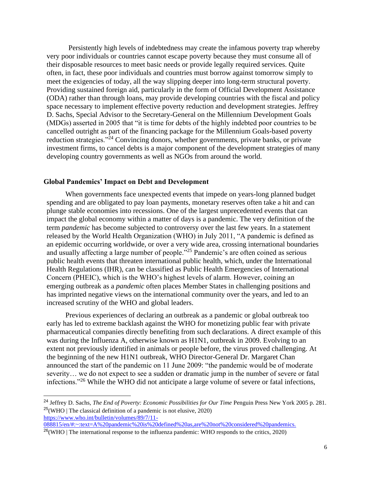Persistently high levels of indebtedness may create the infamous poverty trap whereby very poor individuals or countries cannot escape poverty because they must consume all of their disposable resources to meet basic needs or provide legally required services. Quite often, in fact, these poor individuals and countries must borrow against tomorrow simply to meet the exigencies of today, all the way slipping deeper into long-term structural poverty. Providing sustained foreign aid, particularly in the form of Official Development Assistance (ODA) rather than through loans, may provide developing countries with the fiscal and policy space necessary to implement effective poverty reduction and development strategies. Jeffrey D. Sachs, Special Advisor to the Secretary-General on the Millennium Development Goals (MDGs) asserted in 2005 that "it is time for debts of the highly indebted poor countries to be cancelled outright as part of the financing package for the Millennium Goals-based poverty reduction strategies."<sup>24</sup> Convincing donors, whether governments, private banks, or private investment firms, to cancel debts is a major component of the development strategies of many developing country governments as well as NGOs from around the world.

### **Global Pandemics' Impact on Debt and Development**

When governments face unexpected events that impede on years-long planned budget spending and are obligated to pay loan payments, monetary reserves often take a hit and can plunge stable economies into recessions. One of the largest unprecedented events that can impact the global economy within a matter of days is a pandemic. The very definition of the term *pandemic* has become subjected to controversy over the last few years. In a statement released by the World Health Organization (WHO) in July 2011, "A pandemic is defined as an epidemic occurring worldwide, or over a very wide area, crossing international boundaries and usually affecting a large number of people."<sup>25</sup> Pandemic's are often coined as serious public health events that threaten international public health, which, under the International Health Regulations (IHR), can be classified as Public Health Emergencies of International Concern (PHEIC), which is the WHO's highest levels of alarm. However, coining an emerging outbreak as a *pandemic* often places Member States in challenging positions and has imprinted negative views on the international community over the years, and led to an increased scrutiny of the WHO and global leaders.

Previous experiences of declaring an outbreak as a pandemic or global outbreak too early has led to extreme backlash against the WHO for monetizing public fear with private pharmaceutical companies directly benefiting from such declarations. A direct example of this was during the Influenza A, otherwise known as H1N1, outbreak in 2009. Evolving to an extent not previously identified in animals or people before, the virus proved challenging. At the beginning of the new H1N1 outbreak, WHO Director-General Dr. Margaret Chan announced the start of the pandemic on 11 June 2009: "the pandemic would be of moderate severity… we do not expect to see a sudden or dramatic jump in the number of severe or fatal infections."<sup>26</sup> While the WHO did not anticipate a large volume of severe or fatal infections,

<sup>&</sup>lt;sup>24</sup> Jeffrey D. Sachs, *The End of Poverty: Economic Possibilities for Our Time Penguin Press New York 2005 p. 281.*  $25(WHO)$  The classical definition of a pandemic is not elusive, 2020) [https://www.who.int/bulletin/volumes/89/7/11-](https://www.who.int/bulletin/volumes/89/7/11-088815/en/#:~:text=A%20pandemic%20is%20defined%20as,are%20not%20considered%20pandemics.)

[<sup>088815/</sup>en/#:~:text=A%20pandemic%20is%20defined%20as,are%20not%20considered%20pandemics.](https://www.who.int/bulletin/volumes/89/7/11-088815/en/#:~:text=A%20pandemic%20is%20defined%20as,are%20not%20considered%20pandemics.)

 $26$ (WHO | The international response to the influenza pandemic: WHO responds to the critics, 2020)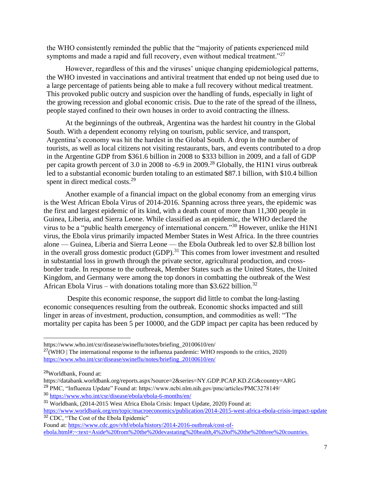the WHO consistently reminded the public that the "majority of patients experienced mild symptoms and made a rapid and full recovery, even without medical treatment."<sup>27</sup>

However, regardless of this and the viruses' unique changing epidemiological patterns, the WHO invested in vaccinations and antiviral treatment that ended up not being used due to a large percentage of patients being able to make a full recovery without medical treatment. This provoked public outcry and suspicion over the handling of funds, especially in light of the growing recession and global economic crisis. Due to the rate of the spread of the illness, people stayed confined to their own houses in order to avoid contracting the illness.

At the beginnings of the outbreak, Argentina was the hardest hit country in the Global South. With a dependent economy relying on tourism, public service, and transport, Argentina's economy was hit the hardest in the Global South. A drop in the number of tourists, as well as local citizens not visiting restaurants, bars, and events contributed to a drop in the Argentine GDP from \$361.6 billion in 2008 to \$333 billion in 2009, and a fall of GDP per capita growth percent of 3.0 in 2008 to -6.9 in 2009.<sup>28</sup> Globally, the H1N1 virus outbreak led to a substantial economic burden totaling to an estimated \$87.1 billion, with \$10.4 billion spent in direct medical costs.<sup>29</sup>

Another example of a financial impact on the global economy from an emerging virus is the West African Ebola Virus of 2014-2016. Spanning across three years, the epidemic was the first and largest epidemic of its kind, with a death count of more than 11,300 people in Guinea, Liberia, and Sierra Leone. While classified as an epidemic, the WHO declared the virus to be a "public health emergency of international concern."<sup>30</sup> However, unlike the H1N1 virus, the Ebola virus primarily impacted Member States in West Africa. In the three countries alone –– Guinea, Liberia and Sierra Leone –– the Ebola Outbreak led to over \$2.8 billion lost in the overall gross domestic product (GDP).<sup>31</sup> This comes from lower investment and resulted in substantial loss in growth through the private sector, agricultural production, and crossborder trade. In response to the outbreak, Member States such as the United States, the United Kingdom, and Germany were among the top donors in combatting the outbreak of the West African Ebola Virus – with donations totaling more than \$3.622 billion.<sup>32</sup>

Despite this economic response, the support did little to combat the long-lasting economic consequences resulting from the outbreak. Economic shocks impacted and still linger in areas of investment, production, consumption, and commodities as well: "The mortality per capita has been 5 per 10000, and the GDP impact per capita has been reduced by

https://www.who.int/csr/disease/swineflu/notes/briefing\_20100610/en/

 $27$ (WHO | The international response to the influenza pandemic: WHO responds to the critics, 2020) [https://www.who.int/csr/disease/swineflu/notes/briefing\\_20100610/en/](https://www.who.int/csr/disease/swineflu/notes/briefing_20100610/en/)

<sup>28</sup>Worldbank, Found at:

https://databank.worldbank.org/reports.aspx?source=2&series=NY.GDP.PCAP.KD.ZG&country=ARG <sup>29</sup> PMC, "Influenza Update" Found at: https://www.ncbi.nlm.nih.gov/pmc/articles/PMC3278149/

<sup>30</sup> <https://www.who.int/csr/disease/ebola/ebola-6-months/en/>

<sup>31</sup> Worldbank, (2014-2015 West Africa Ebola Crisis: Impact Update, 2020) Found at:

<https://www.worldbank.org/en/topic/macroeconomics/publication/2014-2015-west-africa-ebola-crisis-impact-update> <sup>32</sup> CDC, "The Cost of the Ebola Epidemic"

Found at[: https://www.cdc.gov/vhf/ebola/history/2014-2016-outbreak/cost-of](https://www.cdc.gov/vhf/ebola/history/2014-2016-outbreak/cost-of-ebola.html#:~:text=Aside%20from%20the%20devastating%20health,4%20of%20the%20three%20countries.)[ebola.html#:~:text=Aside%20from%20the%20devastating%20health,4%20of%20the%20three%20countries.](https://www.cdc.gov/vhf/ebola/history/2014-2016-outbreak/cost-of-ebola.html#:~:text=Aside%20from%20the%20devastating%20health,4%20of%20the%20three%20countries.)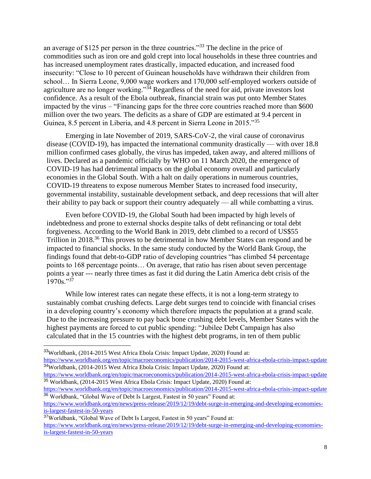an average of \$125 per person in the three countries."<sup>33</sup> The decline in the price of commodities such as iron ore and gold crept into local households in these three countries and has increased unemployment rates drastically, impacted education, and increased food insecurity: "Close to 10 percent of Guinean households have withdrawn their children from school… In Sierra Leone, 9,000 wage workers and 170,000 self-employed workers outside of agriculture are no longer working."<sup>34</sup> Regardless of the need for aid, private investors lost confidence. As a result of the Ebola outbreak, financial strain was put onto Member States impacted by the virus – "Financing gaps for the three core countries reached more than \$600 million over the two years. The deficits as a share of GDP are estimated at 9.4 percent in Guinea, 8.5 percent in Liberia, and 4.8 percent in Sierra Leone in 2015."<sup>35</sup>

Emerging in late November of 2019, SARS-CoV-2, the viral cause of coronavirus disease (COVID-19), has impacted the international community drastically –– with over 18.8 million confirmed cases globally, the virus has impeded, taken away, and altered millions of lives. Declared as a pandemic officially by WHO on 11 March 2020, the emergence of COVID-19 has had detrimental impacts on the global economy overall and particularly economies in the Global South. With a halt on daily operations in numerous countries, COVID-19 threatens to expose numerous Member States to increased food insecurity, governmental instability, sustainable development setback, and deep recessions that will alter their ability to pay back or support their country adequately –– all while combatting a virus.

Even before COVID-19, the Global South had been impacted by high levels of indebtedness and prone to external shocks despite talks of debt refinancing or total debt forgiveness. According to the World Bank in 2019, debt climbed to a record of US\$55 Trillion in 2018<sup>36</sup> This proves to be detrimental in how Member States can respond and be impacted to financial shocks. In the same study conducted by the World Bank Group, the findings found that debt-to-GDP ratio of developing countries "has climbed 54 percentage points to 168 percentage points… On average, that ratio has risen about seven percentage points a year --- nearly three times as fast it did during the Latin America debt crisis of the  $1970s$ . "37"

While low interest rates can negate these effects, it is not a long-term strategy to sustainably combat crushing defects. Large debt surges tend to coincide with financial crises in a developing country's economy which therefore impacts the population at a grand scale. Due to the increasing pressure to pay back bone crushing debt levels, Member States with the highest payments are forced to cut public spending: "Jubilee Debt Campaign has also calculated that in the 15 countries with the highest debt programs, in ten of them public

<sup>33</sup>Worldbank, (2014-2015 West Africa Ebola Crisis: Impact Update, 2020) Found at:

<https://www.worldbank.org/en/topic/macroeconomics/publication/2014-2015-west-africa-ebola-crisis-impact-update> <sup>34</sup>Worldbank, (2014-2015 West Africa Ebola Crisis: Impact Update, 2020) Found at:

<https://www.worldbank.org/en/topic/macroeconomics/publication/2014-2015-west-africa-ebola-crisis-impact-update> <sup>35</sup> Worldbank, (2014-2015 West Africa Ebola Crisis: Impact Update, 2020) Found at:

<https://www.worldbank.org/en/topic/macroeconomics/publication/2014-2015-west-africa-ebola-crisis-impact-update> <sup>36</sup> Worldbank, "Global Wave of Debt Is Largest, Fastest in 50 years" Found at:

[https://www.worldbank.org/en/news/press-release/2019/12/19/debt-surge-in-emerging-and-developing-economies](https://www.worldbank.org/en/news/press-release/2019/12/19/debt-surge-in-emerging-and-developing-economies-is-largest-fastest-in-50-years)[is-largest-fastest-in-50-years](https://www.worldbank.org/en/news/press-release/2019/12/19/debt-surge-in-emerging-and-developing-economies-is-largest-fastest-in-50-years)

<sup>37</sup>Worldbank, "Global Wave of Debt Is Largest, Fastest in 50 years" Found at: [https://www.worldbank.org/en/news/press-release/2019/12/19/debt-surge-in-emerging-and-developing-economies](https://www.worldbank.org/en/news/press-release/2019/12/19/debt-surge-in-emerging-and-developing-economies-is-largest-fastest-in-50-years)[is-largest-fastest-in-50-years](https://www.worldbank.org/en/news/press-release/2019/12/19/debt-surge-in-emerging-and-developing-economies-is-largest-fastest-in-50-years)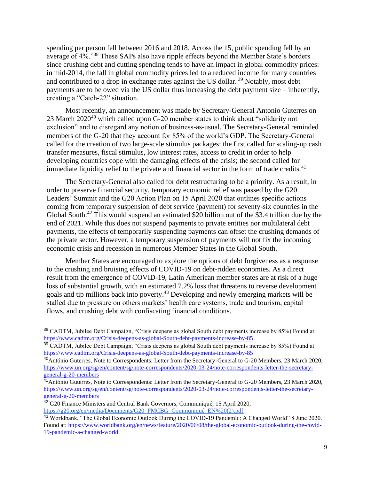spending per person fell between 2016 and 2018. Across the 15, public spending fell by an average of 4%."<sup>38</sup> These SAPs also have ripple effects beyond the Member State's borders since crushing debt and cutting spending tends to have an impact in global commodity prices: in mid-2014, the fall in global commodity prices led to a reduced income for many countries and contributed to a drop in exchange rates against the US dollar. <sup>39</sup> Notably, most debt payments are to be owed via the US dollar thus increasing the debt payment size – inherently, creating a "Catch-22" situation.

Most recently, an announcement was made by Secretary-General Antonio Guterres on 23 March 2020<sup>40</sup> which called upon G-20 member states to think about "solidarity not exclusion" and to disregard any notion of business-as-usual. The Secretary-General reminded members of the G-20 that they account for 85% of the world's GDP. The Secretary-General called for the creation of two large-scale stimulus packages: the first called for scaling-up cash transfer measures, fiscal stimulus, low interest rates, access to credit in order to help developing countries cope with the damaging effects of the crisis; the second called for immediate liquidity relief to the private and financial sector in the form of trade credits.<sup>41</sup>

The Secretary-General also called for debt restructuring to be a priority. As a result, in order to preserve financial security, temporary economic relief was passed by the G20 Leaders' Summit and the G20 Action Plan on 15 April 2020 that outlines specific actions coming from temporary suspension of debt service (payment) for seventy-six countries in the Global South.<sup>42</sup> This would suspend an estimated \$20 billion out of the \$3.4 trillion due by the end of 2021. While this does not suspend payments to private entities nor multilateral debt payments, the effects of temporarily suspending payments can offset the crushing demands of the private sector. However, a temporary suspension of payments will not fix the incoming economic crisis and recession in numerous Member States in the Global South.

Member States are encouraged to explore the options of debt forgiveness as a response to the crushing and bruising effects of COVID-19 on debt-ridden economies. As a direct result from the emergence of COVID-19, Latin American member states are at risk of a huge loss of substantial growth, with an estimated 7.2% loss that threatens to reverse development goals and tip millions back into poverty.<sup>43</sup> Developing and newly emerging markets will be stalled due to pressure on others markets' health care systems, trade and tourism, capital flows, and crushing debt with confiscating financial conditions.

<sup>39</sup> CADTM, Jubilee Debt Campaign, "Crisis deepens as global South debt payments increase by 85%) Found at: <https://www.cadtm.org/Crisis-deepens-as-global-South-debt-payments-increase-by-85>

<sup>38</sup> CADTM, Jubilee Debt Campaign, "Crisis deepens as global South debt payments increase by 85%) Found at: <https://www.cadtm.org/Crisis-deepens-as-global-South-debt-payments-increase-by-85>

<sup>40</sup>António Guterres, Note to Correspondents: Letter from the Secretary-General to G-20 Members, 23 March 2020, [https://www.un.org/sg/en/content/sg/note-correspondents/2020-03-24/note-correspondents-letter-the-secretary](https://www.un.org/sg/en/content/sg/note-correspondents/2020-03-24/note-correspondents-letter-the-secretary-general-g-20-members)[general-g-20-members](https://www.un.org/sg/en/content/sg/note-correspondents/2020-03-24/note-correspondents-letter-the-secretary-general-g-20-members)

<sup>&</sup>lt;sup>41</sup> António Guterres, Note to Correspondents: Letter from the Secretary-General to G-20 Members, 23 March 2020, [https://www.un.org/sg/en/content/sg/note-correspondents/2020-03-24/note-correspondents-letter-the-secretary](https://www.un.org/sg/en/content/sg/note-correspondents/2020-03-24/note-correspondents-letter-the-secretary-general-g-20-members)[general-g-20-members](https://www.un.org/sg/en/content/sg/note-correspondents/2020-03-24/note-correspondents-letter-the-secretary-general-g-20-members)

<sup>&</sup>lt;sup>42</sup> G20 Finance Ministers and Central Bank Governors, Communiqué, 15 April 2020, [https://g20.org/en/media/Documents/G20\\_FMCBG\\_Communiqué\\_EN%20\(2\).pdf](https://g20.org/en/media/Documents/G20_FMCBG_Communiqu%C3%A9_EN%20(2).pdf)

<sup>43</sup> Worldbank, "The Global Economic Outlook During the COVID-19 Pandemic: A Changed World" 8 June 2020. Found at[: https://www.worldbank.org/en/news/feature/2020/06/08/the-global-economic-outlook-during-the-covid-](https://www.worldbank.org/en/news/feature/2020/06/08/the-global-economic-outlook-during-the-covid-19-pandemic-a-changed-world)[19-pandemic-a-changed-world](https://www.worldbank.org/en/news/feature/2020/06/08/the-global-economic-outlook-during-the-covid-19-pandemic-a-changed-world)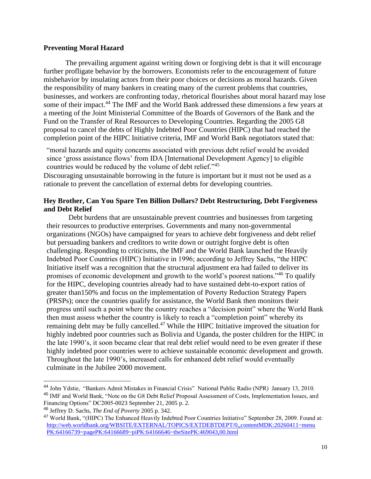# **Preventing Moral Hazard**

The prevailing argument against writing down or forgiving debt is that it will encourage further profligate behavior by the borrowers. Economists refer to the encouragement of future misbehavior by insulating actors from their poor choices or decisions as moral hazards. Given the responsibility of many bankers in creating many of the current problems that countries, businesses, and workers are confronting today, rhetorical flourishes about moral hazard may lose some of their impact.<sup>44</sup> The IMF and the World Bank addressed these dimensions a few years at a meeting of the Joint Ministerial Committee of the Boards of Governors of the Bank and the Fund on the Transfer of Real Resources to Developing Countries. Regarding the 2005 G8 proposal to cancel the debts of Highly Indebted Poor Countries (HIPC) that had reached the completion point of the HIPC Initiative criteria, IMF and World Bank negotiators stated that:

"moral hazards and equity concerns associated with previous debt relief would be avoided since 'gross assistance flows' from IDA [International Development Agency] to eligible countries would be reduced by the volume of debt relief."<sup>45</sup>

Discouraging unsustainable borrowing in the future is important but it must not be used as a rationale to prevent the cancellation of external debts for developing countries.

# **Hey Brother, Can You Spare Ten Billion Dollars? Debt Restructuring, Debt Forgiveness and Debt Relief**

Debt burdens that are unsustainable prevent countries and businesses from targeting their resources to productive enterprises. Governments and many non-governmental organizations (NGOs) have campaigned for years to achieve debt forgiveness and debt relief but persuading bankers and creditors to write down or outright forgive debt is often challenging. Responding to criticisms, the IMF and the World Bank launched the Heavily Indebted Poor Countries (HIPC) Initiative in 1996; according to Jeffrey Sachs, "the HIPC Initiative itself was a recognition that the structural adjustment era had failed to deliver its promises of economic development and growth to the world's poorest nations."<sup>46</sup> To qualify for the HIPC, developing countries already had to have sustained debt-to-export ratios of greater than150% and focus on the implementation of Poverty Reduction Strategy Papers (PRSPs); once the countries qualify for assistance, the World Bank then monitors their progress until such a point where the country reaches a "decision point" where the World Bank then must assess whether the country is likely to reach a "completion point" whereby its remaining debt may be fully cancelled.<sup>47</sup> While the HIPC Initiative improved the situation for highly indebted poor countries such as Bolivia and Uganda, the poster children for the HIPC in the late 1990's, it soon became clear that real debt relief would need to be even greater if these highly indebted poor countries were to achieve sustainable economic development and growth. Throughout the late 1990's, increased calls for enhanced debt relief would eventually culminate in the Jubilee 2000 movement.

<sup>44</sup> John Ydstie, "Bankers Admit Mistakes in Financial Crisis" National Public Radio (NPR) January 13, 2010. <sup>45</sup> IMF and World Bank, "Note on the G8 Debt Relief Proposal Assessment of Costs, Implementation Issues, and Financing Options" DC2005-0023 September 21, 2005 p. 2.

<sup>46</sup> Jeffrey D. Sachs, *The End of Poverty* 2005 p. 342.

<sup>47</sup> World Bank, "(HIPC) The Enhanced Heavily Indebted Poor Countries Initiative" September 28, 2009. Found at: http://web.worldbank.org/WBSITE/EXTERNAL/TOPICS/EXTDEBTDEPT/0,,contentMDK:20260411~menu PK:64166739~pagePK:64166689~piPK:64166646~theSitePK:469043,00.html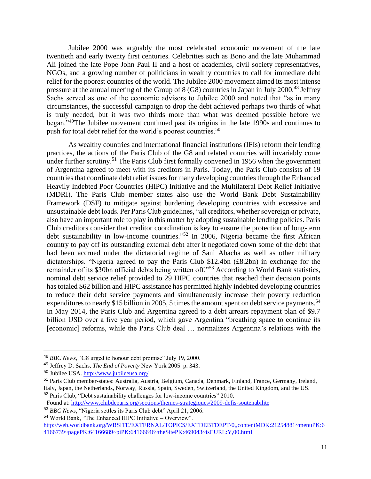Jubilee 2000 was arguably the most celebrated economic movement of the late twentieth and early twenty first centuries. Celebrities such as Bono and the late Muhammad Ali joined the late Pope John Paul II and a host of academics, civil society representatives, NGOs, and a growing number of politicians in wealthy countries to call for immediate debt relief for the poorest countries of the world. The Jubilee 2000 movement aimed its most intense pressure at the annual meeting of the Group of  $8$  (G8) countries in Japan in July 2000.<sup>48</sup> Jeffrey Sachs served as one of the economic advisors to Jubilee 2000 and noted that "as in many circumstances, the successful campaign to drop the debt achieved perhaps two thirds of what is truly needed, but it was two thirds more than what was deemed possible before we began."<sup>49</sup>The Jubilee movement continued past its origins in the late 1990s and continues to push for total debt relief for the world's poorest countries.<sup>50</sup>

As wealthy countries and international financial institutions (IFIs) reform their lending practices, the actions of the Paris Club of the G8 and related countries will invariably come under further scrutiny.<sup>51</sup> The Paris Club first formally convened in 1956 when the government of Argentina agreed to meet with its creditors in Paris. Today, the Paris Club consists of 19 countries that coordinate debt relief issues for many developing countries through the Enhanced Heavily Indebted Poor Countries (HIPC) Initiative and the Multilateral Debt Relief Initiative (MDRI). The Paris Club member states also use the World Bank Debt Sustainability Framework (DSF) to mitigate against burdening developing countries with excessive and unsustainable debt loads. Per Paris Club guidelines, "all creditors, whether sovereign or private, also have an important role to play in this matter by adopting sustainable lending policies. Paris Club creditors consider that creditor coordination is key to ensure the protection of long-term debt sustainability in low-income countries."<sup>52</sup> In 2006, Nigeria became the first African country to pay off its outstanding external debt after it negotiated down some of the debt that had been accrued under the dictatorial regime of Sani Abacha as well as other military dictatorships. "Nigeria agreed to pay the Paris Club \$12.4bn (£8.2bn) in exchange for the remainder of its \$30bn official debts being written off."<sup>53</sup> According to World Bank statistics, nominal debt service relief provided to 29 HIPC countries that reached their decision points has totaled \$62 billion and HIPC assistance has permitted highly indebted developing countries to reduce their debt service payments and simultaneously increase their poverty reduction expenditures to nearly \$15 billion in 2005, 5 times the amount spent on debt service payments.<sup>54</sup> In May 2014, the Paris Club and Argentina agreed to a debt arrears repayment plan of \$9.7 billion USD over a five year period, which gave Argentina "breathing space to continue its [economic] reforms, while the Paris Club deal … normalizes Argentina's relations with the

<sup>54</sup> World Bank, "The Enhanced HIPC Initiative – Overview".

<sup>48</sup> *BBC News*, "G8 urged to honour debt promise" July 19, 2000.

<sup>49</sup> Jeffrey D. Sachs, *The End of Poverty* New York 2005 p. 343.

<sup>50</sup> Jubilee USA.<http://www.jubileeusa.org/>

<sup>51</sup> Paris Club member-states: Australia, Austria, Belgium, Canada, Denmark, Finland, France, Germany, Ireland, Italy, Japan, the Netherlands, Norway, Russia, Spain, Sweden, Switzerland, the United Kingdom, and the US.

<sup>52</sup> Paris Club, "Debt sustainability challenges for low-income countries" 2010.

Found at[: http://www.clubdeparis.org/sections/themes-strategiques/2009-defis-soutenabilite](http://www.clubdeparis.org/sections/themes-strategiques/2009-defis-soutenabilite)

<sup>53</sup> *BBC News*, "Nigeria settles its Paris Club debt" April 21, 2006.

http://web.worldbank.org/WBSITE/EXTERNAL/TOPICS/EXTDEBTDEPT/0,,contentMDK:21254881~menuPK:6 4166739~pagePK:64166689~piPK:64166646~theSitePK:469043~isCURL:Y,00.html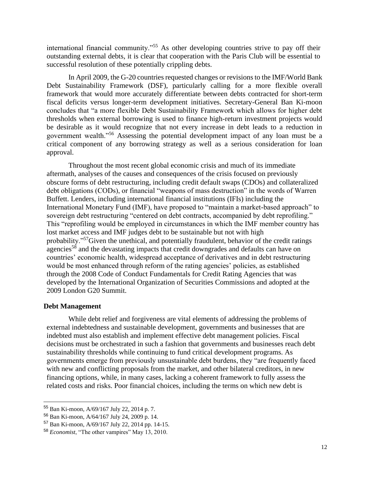international financial community."<sup>55</sup> As other developing countries strive to pay off their outstanding external debts, it is clear that cooperation with the Paris Club will be essential to successful resolution of these potentially crippling debts.

In April 2009, the G-20 countries requested changes or revisions to the IMF/World Bank Debt Sustainability Framework (DSF), particularly calling for a more flexible overall framework that would more accurately differentiate between debts contracted for short-term fiscal deficits versus longer-term development initiatives. Secretary-General Ban Ki-moon concludes that "a more flexible Debt Sustainability Framework which allows for higher debt thresholds when external borrowing is used to finance high-return investment projects would be desirable as it would recognize that not every increase in debt leads to a reduction in government wealth."<sup>56</sup> Assessing the potential development impact of any loan must be a critical component of any borrowing strategy as well as a serious consideration for loan approval.

Throughout the most recent global economic crisis and much of its immediate aftermath, analyses of the causes and consequences of the crisis focused on previously obscure forms of debt restructuring, including credit default swaps (CDOs) and collateralized debt obligations (CODs), or financial "weapons of mass destruction" in the words of Warren Buffett. Lenders, including international financial institutions (IFIs) including the International Monetary Fund (IMF), have proposed to "maintain a market-based approach" to sovereign debt restructuring "centered on debt contracts, accompanied by debt reprofiling." This "reprofiling would be employed in circumstances in which the IMF member country has lost market access and IMF judges debt to be sustainable but not with high probability."<sup>57</sup>Given the unethical, and potentially fraudulent, behavior of the credit ratings agencies<sup>58</sup> and the devastating impacts that credit downgrades and defaults can have on countries' economic health, widespread acceptance of derivatives and in debt restructuring would be most enhanced through reform of the rating agencies' policies, as established through the 2008 Code of Conduct Fundamentals for Credit Rating Agencies that was developed by the International Organization of Securities Commissions and adopted at the 2009 London G20 Summit.

#### **Debt Management**

While debt relief and forgiveness are vital elements of addressing the problems of external indebtedness and sustainable development, governments and businesses that are indebted must also establish and implement effective debt management policies. Fiscal decisions must be orchestrated in such a fashion that governments and businesses reach debt sustainability thresholds while continuing to fund critical development programs. As governments emerge from previously unsustainable debt burdens, they "are frequently faced with new and conflicting proposals from the market, and other bilateral creditors, in new financing options, while, in many cases, lacking a coherent framework to fully assess the related costs and risks. Poor financial choices, including the terms on which new debt is

<sup>55</sup> Ban Ki-moon, A/69/167 July 22, 2014 p. 7.

<sup>56</sup> Ban Ki-moon, A/64/167 July 24, 2009 p. 14.

<sup>57</sup> Ban Ki-moon, A/69/167 July 22, 2014 pp. 14-15.

<sup>58</sup> *Economist*, "The other vampires" May 13, 2010.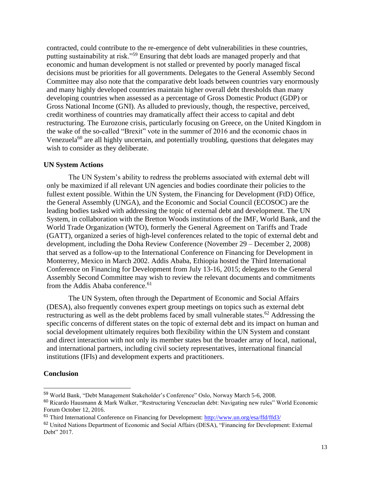contracted, could contribute to the re-emergence of debt vulnerabilities in these countries, putting sustainability at risk."<sup>59</sup> Ensuring that debt loads are managed properly and that economic and human development is not stalled or prevented by poorly managed fiscal decisions must be priorities for all governments. Delegates to the General Assembly Second Committee may also note that the comparative debt loads between countries vary enormously and many highly developed countries maintain higher overall debt thresholds than many developing countries when assessed as a percentage of Gross Domestic Product (GDP) or Gross National Income (GNI). As alluded to previously, though, the respective, perceived, credit worthiness of countries may dramatically affect their access to capital and debt restructuring. The Eurozone crisis, particularly focusing on Greece, on the United Kingdom in the wake of the so-called "Brexit" vote in the summer of 2016 and the economic chaos in Venezuela<sup>60</sup> are all highly uncertain, and potentially troubling, questions that delegates may wish to consider as they deliberate.

### **UN System Actions**

The UN System's ability to redress the problems associated with external debt will only be maximized if all relevant UN agencies and bodies coordinate their policies to the fullest extent possible. Within the UN System, the Financing for Development (FtD) Office, the General Assembly (UNGA), and the Economic and Social Council (ECOSOC) are the leading bodies tasked with addressing the topic of external debt and development. The UN System, in collaboration with the Bretton Woods institutions of the IMF, World Bank, and the World Trade Organization (WTO), formerly the General Agreement on Tariffs and Trade (GATT), organized a series of high-level conferences related to the topic of external debt and development, including the Doha Review Conference (November 29 – December 2, 2008) that served as a follow-up to the International Conference on Financing for Development in Monterrey, Mexico in March 2002. Addis Ababa, Ethiopia hosted the Third International Conference on Financing for Development from July 13-16, 2015; delegates to the General Assembly Second Committee may wish to review the relevant documents and commitments from the Addis Ababa conference.<sup>61</sup>

The UN System, often through the Department of Economic and Social Affairs (DESA), also frequently convenes expert group meetings on topics such as external debt restructuring as well as the debt problems faced by small vulnerable states.<sup>62</sup> Addressing the specific concerns of different states on the topic of external debt and its impact on human and social development ultimately requires both flexibility within the UN System and constant and direct interaction with not only its member states but the broader array of local, national, and international partners, including civil society representatives, international financial institutions (IFIs) and development experts and practitioners.

#### **Conclusion**

<sup>59</sup> World Bank, "Debt Management Stakeholder's Conference" Oslo, Norway March 5-6, 2008.

<sup>60</sup> Ricardo Hausmann & Mark Walker, "Restructuring Venezuelan debt: Navigating new rules" World Economic Forum October 12, 2016.

<sup>&</sup>lt;sup>61</sup> Third International Conference on Financing for Development:<http://www.un.org/esa/ffd/ffd3/>

<sup>&</sup>lt;sup>62</sup> United Nations Department of Economic and Social Affairs (DESA), "Financing for Development: External Debt" 2017.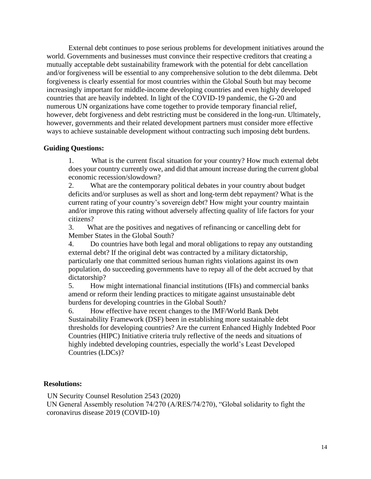External debt continues to pose serious problems for development initiatives around the world. Governments and businesses must convince their respective creditors that creating a mutually acceptable debt sustainability framework with the potential for debt cancellation and/or forgiveness will be essential to any comprehensive solution to the debt dilemma. Debt forgiveness is clearly essential for most countries within the Global South but may become increasingly important for middle-income developing countries and even highly developed countries that are heavily indebted. In light of the COVID-19 pandemic, the G-20 and numerous UN organizations have come together to provide temporary financial relief, however, debt forgiveness and debt restricting must be considered in the long-run. Ultimately, however, governments and their related development partners must consider more effective ways to achieve sustainable development without contracting such imposing debt burdens.

## **Guiding Questions:**

1. What is the current fiscal situation for your country? How much external debt does your country currently owe, and did that amount increase during the current global economic recession/slowdown?

2. What are the contemporary political debates in your country about budget deficits and/or surpluses as well as short and long-term debt repayment? What is the current rating of your country's sovereign debt? How might your country maintain and/or improve this rating without adversely affecting quality of life factors for your citizens?

3. What are the positives and negatives of refinancing or cancelling debt for Member States in the Global South?

4. Do countries have both legal and moral obligations to repay any outstanding external debt? If the original debt was contracted by a military dictatorship, particularly one that committed serious human rights violations against its own population, do succeeding governments have to repay all of the debt accrued by that dictatorship?

5. How might international financial institutions (IFIs) and commercial banks amend or reform their lending practices to mitigate against unsustainable debt burdens for developing countries in the Global South?

6. How effective have recent changes to the IMF/World Bank Debt Sustainability Framework (DSF) been in establishing more sustainable debt thresholds for developing countries? Are the current Enhanced Highly Indebted Poor Countries (HIPC) Initiative criteria truly reflective of the needs and situations of highly indebted developing countries, especially the world's Least Developed Countries (LDCs)?

### **Resolutions:**

UN Security Counsel Resolution 2543 (2020)

UN General Assembly resolution 74/270 (A/RES/74/270), "Global solidarity to fight the coronavirus disease 2019 (COVID-10)